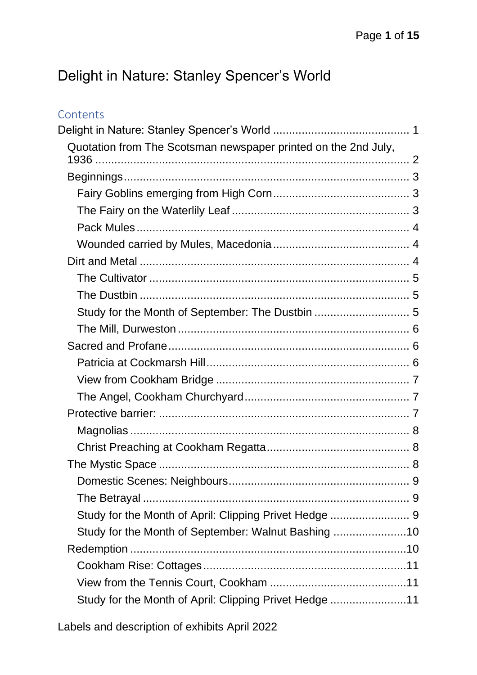# <span id="page-0-0"></span>Delight in Nature: Stanley Spencer's World

| Contents                                                       |  |
|----------------------------------------------------------------|--|
|                                                                |  |
| Quotation from The Scotsman newspaper printed on the 2nd July, |  |
|                                                                |  |
|                                                                |  |
|                                                                |  |
|                                                                |  |
|                                                                |  |
|                                                                |  |
|                                                                |  |
|                                                                |  |
|                                                                |  |
| Study for the Month of September: The Dustbin  5               |  |
|                                                                |  |
|                                                                |  |
|                                                                |  |
|                                                                |  |
|                                                                |  |
|                                                                |  |
|                                                                |  |
|                                                                |  |
|                                                                |  |
|                                                                |  |
|                                                                |  |
|                                                                |  |
| Study for the Month of September: Walnut Bashing 10            |  |
|                                                                |  |
|                                                                |  |
|                                                                |  |
| Study for the Month of April: Clipping Privet Hedge 11         |  |
|                                                                |  |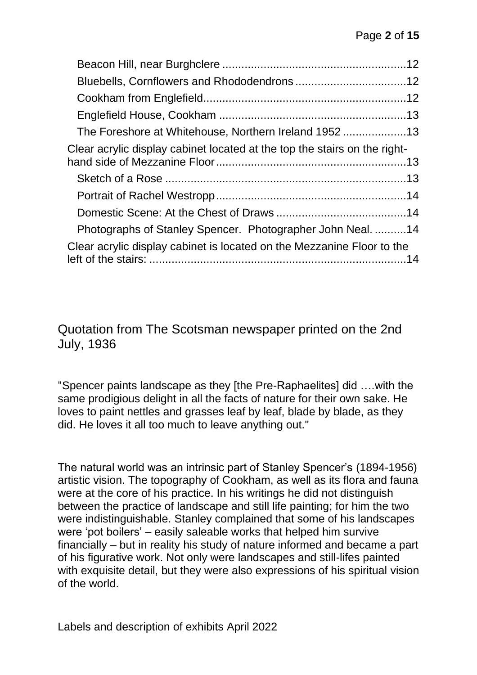| The Foreshore at Whitehouse, Northern Ireland 195213                      |  |
|---------------------------------------------------------------------------|--|
| Clear acrylic display cabinet located at the top the stairs on the right- |  |
|                                                                           |  |
|                                                                           |  |
|                                                                           |  |
|                                                                           |  |
| Photographs of Stanley Spencer. Photographer John Neal14                  |  |
| Clear acrylic display cabinet is located on the Mezzanine Floor to the    |  |
|                                                                           |  |

<span id="page-1-0"></span>Quotation from The Scotsman newspaper printed on the 2nd July, 1936

"Spencer paints landscape as they [the Pre-Raphaelites] did ….with the same prodigious delight in all the facts of nature for their own sake. He loves to paint nettles and grasses leaf by leaf, blade by blade, as they did. He loves it all too much to leave anything out."

The natural world was an intrinsic part of Stanley Spencer's (1894-1956) artistic vision. The topography of Cookham, as well as its flora and fauna were at the core of his practice. In his writings he did not distinguish between the practice of landscape and still life painting; for him the two were indistinguishable. Stanley complained that some of his landscapes were 'pot boilers' – easily saleable works that helped him survive financially – but in reality his study of nature informed and became a part of his figurative work. Not only were landscapes and still-lifes painted with exquisite detail, but they were also expressions of his spiritual vision of the world.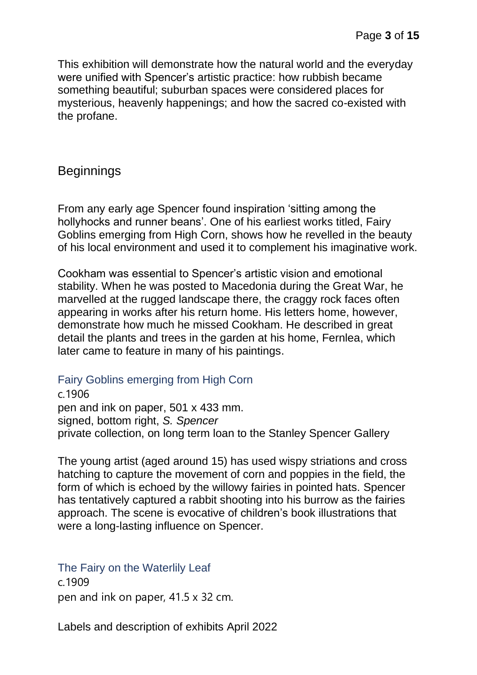This exhibition will demonstrate how the natural world and the everyday were unified with Spencer's artistic practice: how rubbish became something beautiful; suburban spaces were considered places for mysterious, heavenly happenings; and how the sacred co-existed with the profane.

### <span id="page-2-0"></span>**Beginnings**

From any early age Spencer found inspiration 'sitting among the hollyhocks and runner beans'. One of his earliest works titled, Fairy Goblins emerging from High Corn, shows how he revelled in the beauty of his local environment and used it to complement his imaginative work.

Cookham was essential to Spencer's artistic vision and emotional stability. When he was posted to Macedonia during the Great War, he marvelled at the rugged landscape there, the craggy rock faces often appearing in works after his return home. His letters home, however, demonstrate how much he missed Cookham. He described in great detail the plants and trees in the garden at his home, Fernlea, which later came to feature in many of his paintings.

#### <span id="page-2-1"></span>Fairy Goblins emerging from High Corn

c.1906 pen and ink on paper, 501 x 433 mm. signed, bottom right, *S. Spencer* private collection, on long term loan to the Stanley Spencer Gallery

The young artist (aged around 15) has used wispy striations and cross hatching to capture the movement of corn and poppies in the field, the form of which is echoed by the willowy fairies in pointed hats. Spencer has tentatively captured a rabbit shooting into his burrow as the fairies approach. The scene is evocative of children's book illustrations that were a long-lasting influence on Spencer.

### <span id="page-2-2"></span>The Fairy on the Waterlily Leaf

c.1909 pen and ink on paper, 41.5 x 32 cm.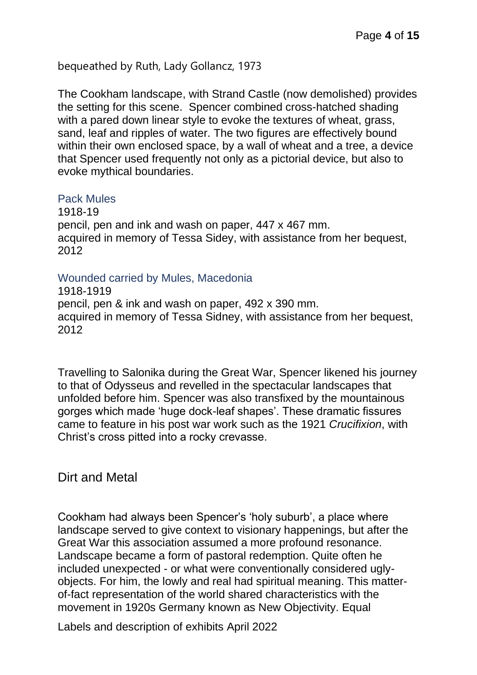bequeathed by Ruth, Lady Gollancz, 1973

The Cookham landscape, with Strand Castle (now demolished) provides the setting for this scene. Spencer combined cross-hatched shading with a pared down linear style to evoke the textures of wheat, grass, sand, leaf and ripples of water. The two figures are effectively bound within their own enclosed space, by a wall of wheat and a tree, a device that Spencer used frequently not only as a pictorial device, but also to evoke mythical boundaries.

#### <span id="page-3-0"></span>Pack Mules

1918-19 pencil, pen and ink and wash on paper, 447 x 467 mm. acquired in memory of Tessa Sidey, with assistance from her bequest, 2012

#### <span id="page-3-1"></span>Wounded carried by Mules, Macedonia

1918-1919 pencil, pen & ink and wash on paper, 492 x 390 mm. acquired in memory of Tessa Sidney, with assistance from her bequest, 2012

Travelling to Salonika during the Great War, Spencer likened his journey to that of Odysseus and revelled in the spectacular landscapes that unfolded before him. Spencer was also transfixed by the mountainous gorges which made 'huge dock-leaf shapes'. These dramatic fissures came to feature in his post war work such as the 1921 *Crucifixion*, with Christ's cross pitted into a rocky crevasse.

### <span id="page-3-2"></span>Dirt and Metal

Cookham had always been Spencer's 'holy suburb', a place where landscape served to give context to visionary happenings, but after the Great War this association assumed a more profound resonance. Landscape became a form of pastoral redemption. Quite often he included unexpected - or what were conventionally considered uglyobjects. For him, the lowly and real had spiritual meaning. This matterof-fact representation of the world shared characteristics with the movement in 1920s Germany known as New Objectivity. Equal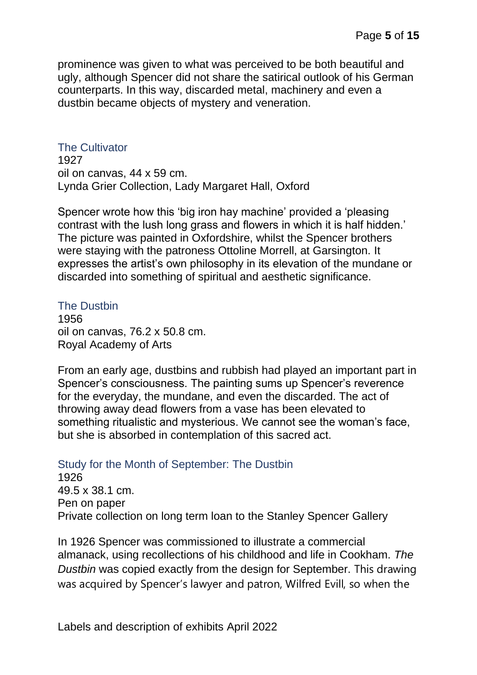prominence was given to what was perceived to be both beautiful and ugly, although Spencer did not share the satirical outlook of his German counterparts. In this way, discarded metal, machinery and even a dustbin became objects of mystery and veneration.

#### <span id="page-4-0"></span>The Cultivator

1927 oil on canvas, 44 x 59 cm. Lynda Grier Collection, Lady Margaret Hall, Oxford

Spencer wrote how this 'big iron hay machine' provided a 'pleasing contrast with the lush long grass and flowers in which it is half hidden.' The picture was painted in Oxfordshire, whilst the Spencer brothers were staying with the patroness Ottoline Morrell, at Garsington. It expresses the artist's own philosophy in its elevation of the mundane or discarded into something of spiritual and aesthetic significance.

#### <span id="page-4-1"></span>The Dustbin

1956 oil on canvas, 76.2 x 50.8 cm. Royal Academy of Arts

From an early age, dustbins and rubbish had played an important part in Spencer's consciousness. The painting sums up Spencer's reverence for the everyday, the mundane, and even the discarded. The act of throwing away dead flowers from a vase has been elevated to something ritualistic and mysterious. We cannot see the woman's face, but she is absorbed in contemplation of this sacred act.

### <span id="page-4-2"></span>Study for the Month of September: The Dustbin

1926 49.5 x 38.1 cm. Pen on paper Private collection on long term loan to the Stanley Spencer Gallery

In 1926 Spencer was commissioned to illustrate a commercial almanack, using recollections of his childhood and life in Cookham. *The Dustbin* was copied exactly from the design for September. This drawing was acquired by Spencer's lawyer and patron, Wilfred Evill, so when the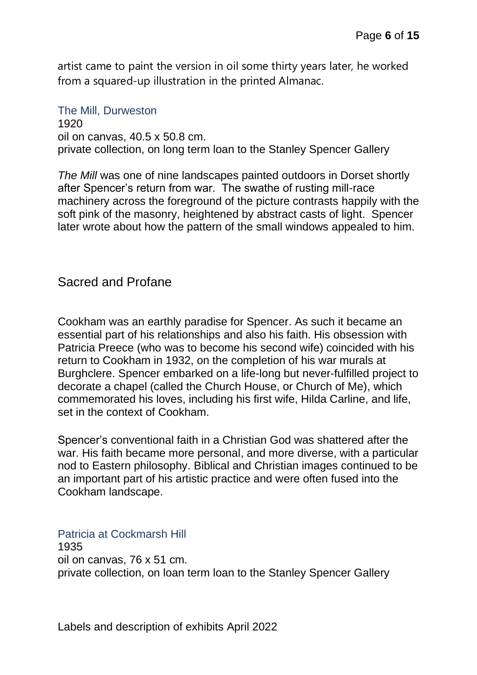artist came to paint the version in oil some thirty years later, he worked from a squared-up illustration in the printed Almanac.

<span id="page-5-0"></span>The Mill, Durweston 1920 oil on canvas, 40.5 x 50.8 cm. private collection, on long term loan to the Stanley Spencer Gallery

*The Mill* was one of nine landscapes painted outdoors in Dorset shortly after Spencer's return from war. The swathe of rusting mill-race machinery across the foreground of the picture contrasts happily with the soft pink of the masonry, heightened by abstract casts of light. Spencer later wrote about how the pattern of the small windows appealed to him.

### <span id="page-5-1"></span>Sacred and Profane

Cookham was an earthly paradise for Spencer. As such it became an essential part of his relationships and also his faith. His obsession with Patricia Preece (who was to become his second wife) coincided with his return to Cookham in 1932, on the completion of his war murals at Burghclere. Spencer embarked on a life-long but never-fulfilled project to decorate a chapel (called the Church House, or Church of Me), which commemorated his loves, including his first wife, Hilda Carline, and life, set in the context of Cookham.

Spencer's conventional faith in a Christian God was shattered after the war. His faith became more personal, and more diverse, with a particular nod to Eastern philosophy. Biblical and Christian images continued to be an important part of his artistic practice and were often fused into the Cookham landscape.

<span id="page-5-2"></span>Patricia at Cockmarsh Hill 1935 oil on canvas, 76 x 51 cm. private collection, on loan term loan to the Stanley Spencer Gallery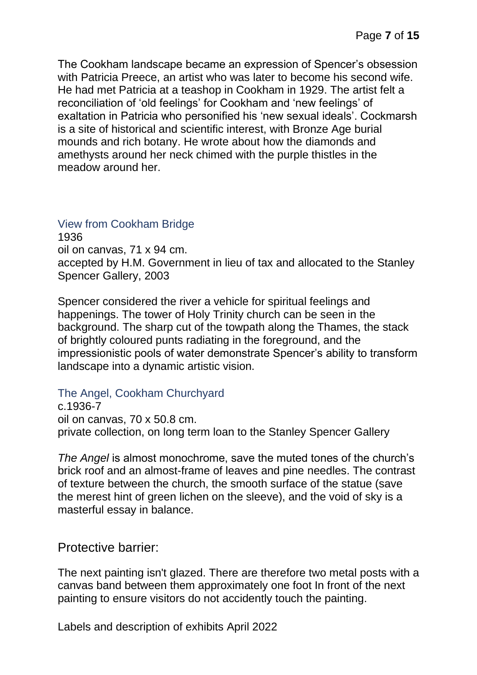The Cookham landscape became an expression of Spencer's obsession with Patricia Preece, an artist who was later to become his second wife. He had met Patricia at a teashop in Cookham in 1929. The artist felt a reconciliation of 'old feelings' for Cookham and 'new feelings' of exaltation in Patricia who personified his 'new sexual ideals'. Cockmarsh is a site of historical and scientific interest, with Bronze Age burial mounds and rich botany. He wrote about how the diamonds and amethysts around her neck chimed with the purple thistles in the meadow around her.

#### <span id="page-6-0"></span>View from Cookham Bridge

1936 oil on canvas, 71 x 94 cm. accepted by H.M. Government in lieu of tax and allocated to the Stanley Spencer Gallery, 2003

Spencer considered the river a vehicle for spiritual feelings and happenings. The tower of Holy Trinity church can be seen in the background. The sharp cut of the towpath along the Thames, the stack of brightly coloured punts radiating in the foreground, and the impressionistic pools of water demonstrate Spencer's ability to transform landscape into a dynamic artistic vision.

#### <span id="page-6-1"></span>The Angel, Cookham Churchyard

c.1936-7 oil on canvas, 70 x 50.8 cm. private collection, on long term loan to the Stanley Spencer Gallery

*The Angel* is almost monochrome, save the muted tones of the church's brick roof and an almost-frame of leaves and pine needles. The contrast of texture between the church, the smooth surface of the statue (save the merest hint of green lichen on the sleeve), and the void of sky is a masterful essay in balance.

<span id="page-6-2"></span>Protective barrier:

The next painting isn't glazed. There are therefore two metal posts with a canvas band between them approximately one foot In front of the next painting to ensure visitors do not accidently touch the painting.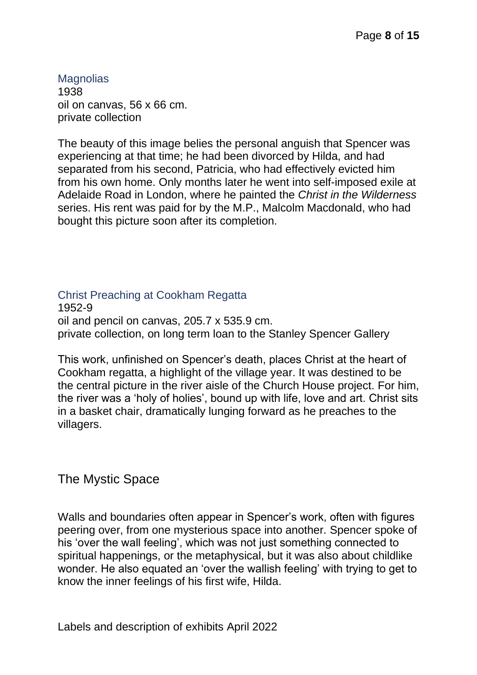<span id="page-7-0"></span>**Magnolias** 1938 oil on canvas, 56 x 66 cm. private collection

The beauty of this image belies the personal anguish that Spencer was experiencing at that time; he had been divorced by Hilda, and had separated from his second, Patricia, who had effectively evicted him from his own home. Only months later he went into self-imposed exile at Adelaide Road in London, where he painted the *Christ in the Wilderness* series. His rent was paid for by the M.P., Malcolm Macdonald, who had bought this picture soon after its completion.

#### <span id="page-7-1"></span>Christ Preaching at Cookham Regatta 1952-9 oil and pencil on canvas, 205.7 x 535.9 cm. private collection, on long term loan to the Stanley Spencer Gallery

This work, unfinished on Spencer's death, places Christ at the heart of Cookham regatta, a highlight of the village year. It was destined to be the central picture in the river aisle of the Church House project. For him, the river was a 'holy of holies', bound up with life, love and art. Christ sits in a basket chair, dramatically lunging forward as he preaches to the villagers.

<span id="page-7-2"></span>The Mystic Space

Walls and boundaries often appear in Spencer's work, often with figures peering over, from one mysterious space into another. Spencer spoke of his 'over the wall feeling', which was not just something connected to spiritual happenings, or the metaphysical, but it was also about childlike wonder. He also equated an 'over the wallish feeling' with trying to get to know the inner feelings of his first wife, Hilda.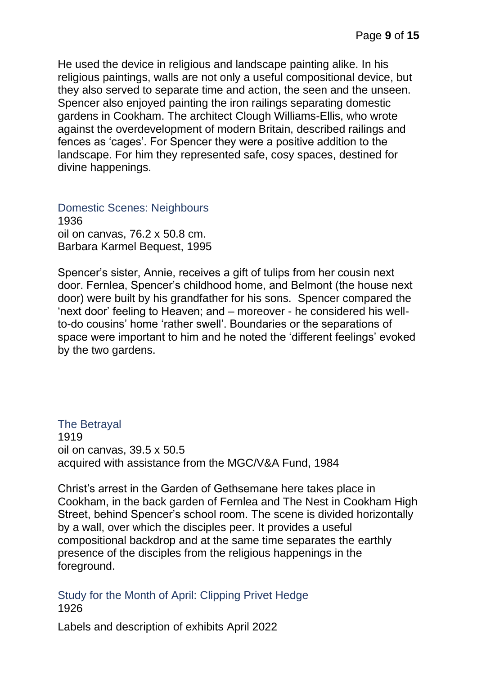He used the device in religious and landscape painting alike. In his religious paintings, walls are not only a useful compositional device, but they also served to separate time and action, the seen and the unseen. Spencer also enjoyed painting the iron railings separating domestic gardens in Cookham. The architect Clough Williams-Ellis, who wrote against the overdevelopment of modern Britain, described railings and fences as 'cages'. For Spencer they were a positive addition to the landscape. For him they represented safe, cosy spaces, destined for divine happenings.

<span id="page-8-0"></span>Domestic Scenes: Neighbours 1936 oil on canvas, 76.2 x 50.8 cm. Barbara Karmel Bequest, 1995

Spencer's sister, Annie, receives a gift of tulips from her cousin next door. Fernlea, Spencer's childhood home, and Belmont (the house next door) were built by his grandfather for his sons. Spencer compared the 'next door' feeling to Heaven; and – moreover - he considered his wellto-do cousins' home 'rather swell'. Boundaries or the separations of space were important to him and he noted the 'different feelings' evoked by the two gardens.

#### <span id="page-8-1"></span>The Betrayal 1919 oil on canvas, 39.5 x 50.5 acquired with assistance from the MGC/V&A Fund, 1984

Christ's arrest in the Garden of Gethsemane here takes place in Cookham, in the back garden of Fernlea and The Nest in Cookham High Street, behind Spencer's school room. The scene is divided horizontally by a wall, over which the disciples peer. It provides a useful compositional backdrop and at the same time separates the earthly presence of the disciples from the religious happenings in the foreground.

<span id="page-8-2"></span>Study for the Month of April: Clipping Privet Hedge 1926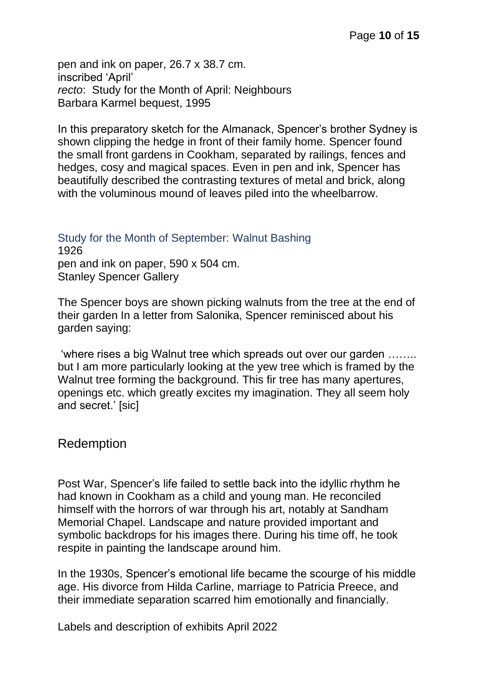pen and ink on paper, 26.7 x 38.7 cm. inscribed 'April' *recto*: Study for the Month of April: Neighbours Barbara Karmel bequest, 1995

In this preparatory sketch for the Almanack, Spencer's brother Sydney is shown clipping the hedge in front of their family home. Spencer found the small front gardens in Cookham, separated by railings, fences and hedges, cosy and magical spaces. Even in pen and ink, Spencer has beautifully described the contrasting textures of metal and brick, along with the voluminous mound of leaves piled into the wheelbarrow.

### <span id="page-9-0"></span>Study for the Month of September: Walnut Bashing 1926 pen and ink on paper, 590 x 504 cm.

Stanley Spencer Gallery

The Spencer boys are shown picking walnuts from the tree at the end of their garden In a letter from Salonika, Spencer reminisced about his garden saying:

'where rises a big Walnut tree which spreads out over our garden …….. but I am more particularly looking at the yew tree which is framed by the Walnut tree forming the background. This fir tree has many apertures, openings etc. which greatly excites my imagination. They all seem holy and secret.' [sic]

### <span id="page-9-1"></span>Redemption

Post War, Spencer's life failed to settle back into the idyllic rhythm he had known in Cookham as a child and young man. He reconciled himself with the horrors of war through his art, notably at Sandham Memorial Chapel. Landscape and nature provided important and symbolic backdrops for his images there. During his time off, he took respite in painting the landscape around him.

In the 1930s, Spencer's emotional life became the scourge of his middle age. His divorce from Hilda Carline, marriage to Patricia Preece, and their immediate separation scarred him emotionally and financially.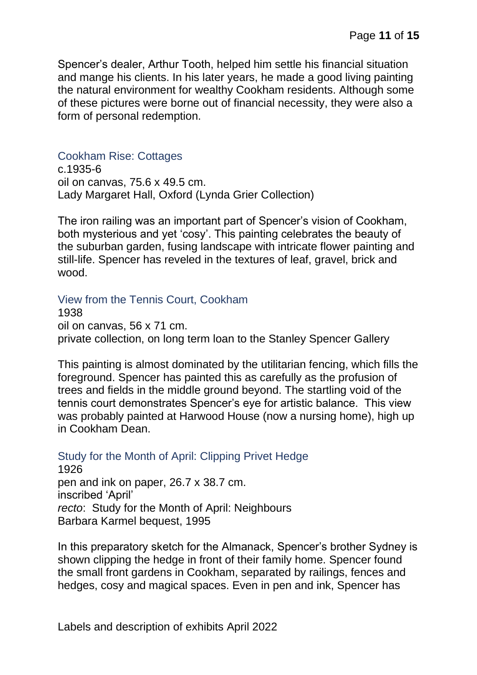Spencer's dealer, Arthur Tooth, helped him settle his financial situation and mange his clients. In his later years, he made a good living painting the natural environment for wealthy Cookham residents. Although some of these pictures were borne out of financial necessity, they were also a form of personal redemption.

#### <span id="page-10-0"></span>Cookham Rise: Cottages

c.1935-6 oil on canvas, 75.6 x 49.5 cm. Lady Margaret Hall, Oxford (Lynda Grier Collection)

The iron railing was an important part of Spencer's vision of Cookham, both mysterious and yet 'cosy'. This painting celebrates the beauty of the suburban garden, fusing landscape with intricate flower painting and still-life. Spencer has reveled in the textures of leaf, gravel, brick and wood.

<span id="page-10-1"></span>View from the Tennis Court, Cookham

1938 oil on canvas, 56 x 71 cm. private collection, on long term loan to the Stanley Spencer Gallery

This painting is almost dominated by the utilitarian fencing, which fills the foreground. Spencer has painted this as carefully as the profusion of trees and fields in the middle ground beyond. The startling void of the tennis court demonstrates Spencer's eye for artistic balance. This view was probably painted at Harwood House (now a nursing home), high up in Cookham Dean.

<span id="page-10-2"></span>Study for the Month of April: Clipping Privet Hedge

1926 pen and ink on paper, 26.7 x 38.7 cm. inscribed 'April' *recto*: Study for the Month of April: Neighbours Barbara Karmel bequest, 1995

In this preparatory sketch for the Almanack, Spencer's brother Sydney is shown clipping the hedge in front of their family home. Spencer found the small front gardens in Cookham, separated by railings, fences and hedges, cosy and magical spaces. Even in pen and ink, Spencer has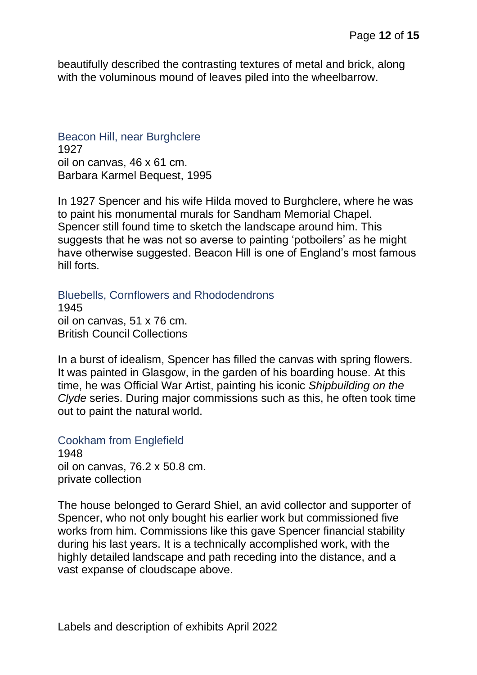beautifully described the contrasting textures of metal and brick, along with the voluminous mound of leaves piled into the wheelbarrow.

<span id="page-11-0"></span>Beacon Hill, near Burghclere 1927 oil on canvas, 46 x 61 cm. Barbara Karmel Bequest, 1995

In 1927 Spencer and his wife Hilda moved to Burghclere, where he was to paint his monumental murals for Sandham Memorial Chapel. Spencer still found time to sketch the landscape around him. This suggests that he was not so averse to painting 'potboilers' as he might have otherwise suggested. Beacon Hill is one of England's most famous hill forts.

<span id="page-11-1"></span>Bluebells, Cornflowers and Rhododendrons

1945 oil on canvas, 51 x 76 cm. British Council Collections

In a burst of idealism, Spencer has filled the canvas with spring flowers. It was painted in Glasgow, in the garden of his boarding house. At this time, he was Official War Artist, painting his iconic *Shipbuilding on the Clyde* series. During major commissions such as this, he often took time out to paint the natural world.

<span id="page-11-2"></span>Cookham from Englefield 1948 oil on canvas, 76.2 x 50.8 cm. private collection

The house belonged to Gerard Shiel, an avid collector and supporter of Spencer, who not only bought his earlier work but commissioned five works from him. Commissions like this gave Spencer financial stability during his last years. It is a technically accomplished work, with the highly detailed landscape and path receding into the distance, and a vast expanse of cloudscape above.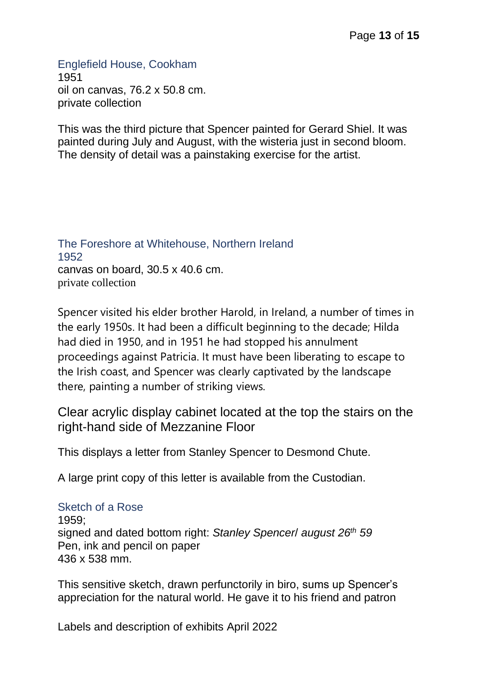<span id="page-12-0"></span>Englefield House, Cookham 1951 oil on canvas, 76.2 x 50.8 cm. private collection

This was the third picture that Spencer painted for Gerard Shiel. It was painted during July and August, with the wisteria just in second bloom. The density of detail was a painstaking exercise for the artist.

#### <span id="page-12-1"></span>The Foreshore at Whitehouse, Northern Ireland 1952 canvas on board, 30.5 x 40.6 cm. private collection

Spencer visited his elder brother Harold, in Ireland, a number of times in the early 1950s. It had been a difficult beginning to the decade; Hilda had died in 1950, and in 1951 he had stopped his annulment proceedings against Patricia. It must have been liberating to escape to the Irish coast, and Spencer was clearly captivated by the landscape there, painting a number of striking views.

<span id="page-12-2"></span>Clear acrylic display cabinet located at the top the stairs on the right-hand side of Mezzanine Floor

This displays a letter from Stanley Spencer to Desmond Chute.

A large print copy of this letter is available from the Custodian.

### <span id="page-12-3"></span>Sketch of a Rose

1959; signed and dated bottom right: *Stanley Spencer*/ *august 26th 59* Pen, ink and pencil on paper 436 x 538 mm.

This sensitive sketch, drawn perfunctorily in biro, sums up Spencer's appreciation for the natural world. He gave it to his friend and patron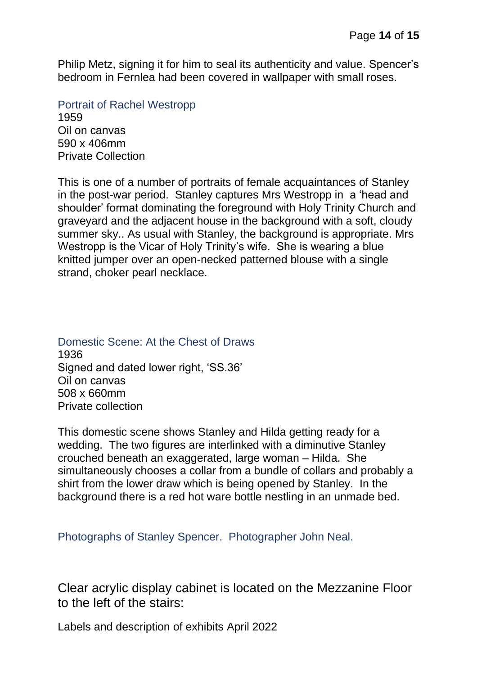Philip Metz, signing it for him to seal its authenticity and value. Spencer's bedroom in Fernlea had been covered in wallpaper with small roses.

<span id="page-13-0"></span>Portrait of Rachel Westropp 1959 Oil on canvas 590 x 406mm Private Collection

This is one of a number of portraits of female acquaintances of Stanley in the post-war period. Stanley captures Mrs Westropp in a 'head and shoulder' format dominating the foreground with Holy Trinity Church and graveyard and the adjacent house in the background with a soft, cloudy summer sky.. As usual with Stanley, the background is appropriate. Mrs Westropp is the Vicar of Holy Trinity's wife. She is wearing a blue knitted jumper over an open-necked patterned blouse with a single strand, choker pearl necklace.

## <span id="page-13-1"></span>Domestic Scene: At the Chest of Draws

1936 Signed and dated lower right, 'SS.36' Oil on canvas 508 x 660mm Private collection

This domestic scene shows Stanley and Hilda getting ready for a wedding. The two figures are interlinked with a diminutive Stanley crouched beneath an exaggerated, large woman – Hilda. She simultaneously chooses a collar from a bundle of collars and probably a shirt from the lower draw which is being opened by Stanley. In the background there is a red hot ware bottle nestling in an unmade bed.

<span id="page-13-2"></span>Photographs of Stanley Spencer. Photographer John Neal.

<span id="page-13-3"></span>Clear acrylic display cabinet is located on the Mezzanine Floor to the left of the stairs: